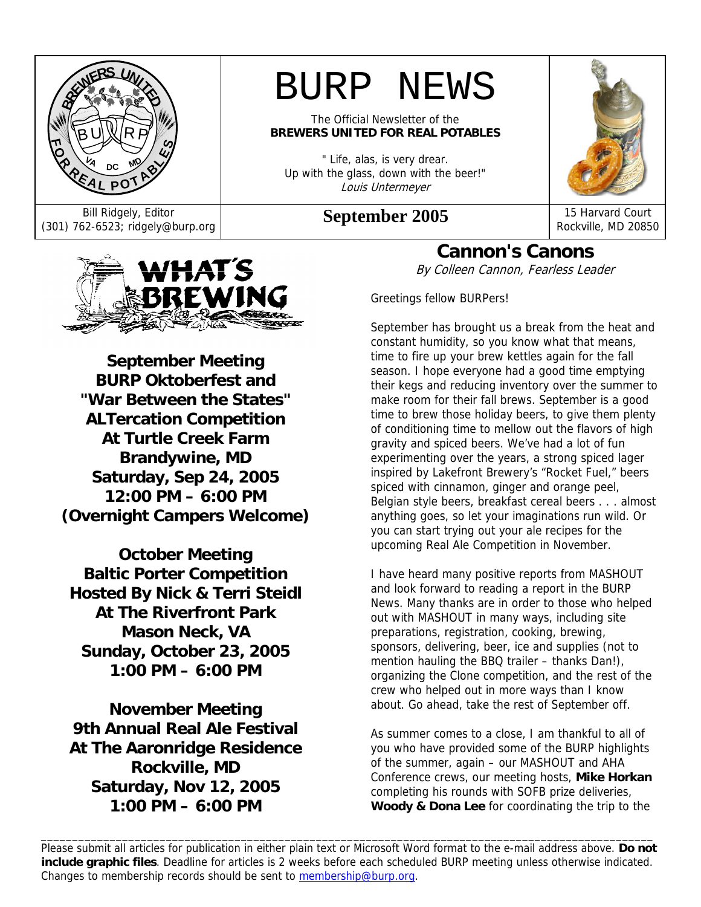

# BURP NEWS

The Official Newsletter of the **BREWERS UNITED FOR REAL POTABLES** 

" Life, alas, is very drear. Up with the glass, down with the beer!" Louis Untermeyer

# Bill Ridgely, Editor<br>(301) 762-6523; ridgely@burp.org **September 2005** 15 Harvard Court



Rockville, MD 20850



**September Meeting BURP Oktoberfest and "War Between the States" ALTercation Competition At Turtle Creek Farm Brandywine, MD Saturday, Sep 24, 2005 12:00 PM – 6:00 PM (Overnight Campers Welcome)** 

**October Meeting Baltic Porter Competition Hosted By Nick & Terri Steidl At The Riverfront Park Mason Neck, VA Sunday, October 23, 2005 1:00 PM – 6:00 PM** 

**November Meeting 9th Annual Real Ale Festival At The Aaronridge Residence Rockville, MD Saturday, Nov 12, 2005 1:00 PM – 6:00 PM** 

**Cannon's Canons**  By Colleen Cannon, Fearless Leader

Greetings fellow BURPers!

September has brought us a break from the heat and constant humidity, so you know what that means, time to fire up your brew kettles again for the fall season. I hope everyone had a good time emptying their kegs and reducing inventory over the summer to make room for their fall brews. September is a good time to brew those holiday beers, to give them plenty of conditioning time to mellow out the flavors of high gravity and spiced beers. We've had a lot of fun experimenting over the years, a strong spiced lager inspired by Lakefront Brewery's "Rocket Fuel," beers spiced with cinnamon, ginger and orange peel, Belgian style beers, breakfast cereal beers . . . almost anything goes, so let your imaginations run wild. Or you can start trying out your ale recipes for the upcoming Real Ale Competition in November.

I have heard many positive reports from MASHOUT and look forward to reading a report in the BURP News. Many thanks are in order to those who helped out with MASHOUT in many ways, including site preparations, registration, cooking, brewing, sponsors, delivering, beer, ice and supplies (not to mention hauling the BBQ trailer – thanks Dan!), organizing the Clone competition, and the rest of the crew who helped out in more ways than I know about. Go ahead, take the rest of September off.

As summer comes to a close, I am thankful to all of you who have provided some of the BURP highlights of the summer, again – our MASHOUT and AHA Conference crews, our meeting hosts, **Mike Horkan** completing his rounds with SOFB prize deliveries, **Woody & Dona Lee** for coordinating the trip to the

Please submit all articles for publication in either plain text or Microsoft Word format to the e-mail address above. **Do not include graphic files**. Deadline for articles is 2 weeks before each scheduled BURP meeting unless otherwise indicated. Changes to membership records should be sent to membership@burp.org.

\_\_\_\_\_\_\_\_\_\_\_\_\_\_\_\_\_\_\_\_\_\_\_\_\_\_\_\_\_\_\_\_\_\_\_\_\_\_\_\_\_\_\_\_\_\_\_\_\_\_\_\_\_\_\_\_\_\_\_\_\_\_\_\_\_\_\_\_\_\_\_\_\_\_\_\_\_\_\_\_\_\_\_\_\_\_\_\_\_\_\_\_\_\_\_\_\_\_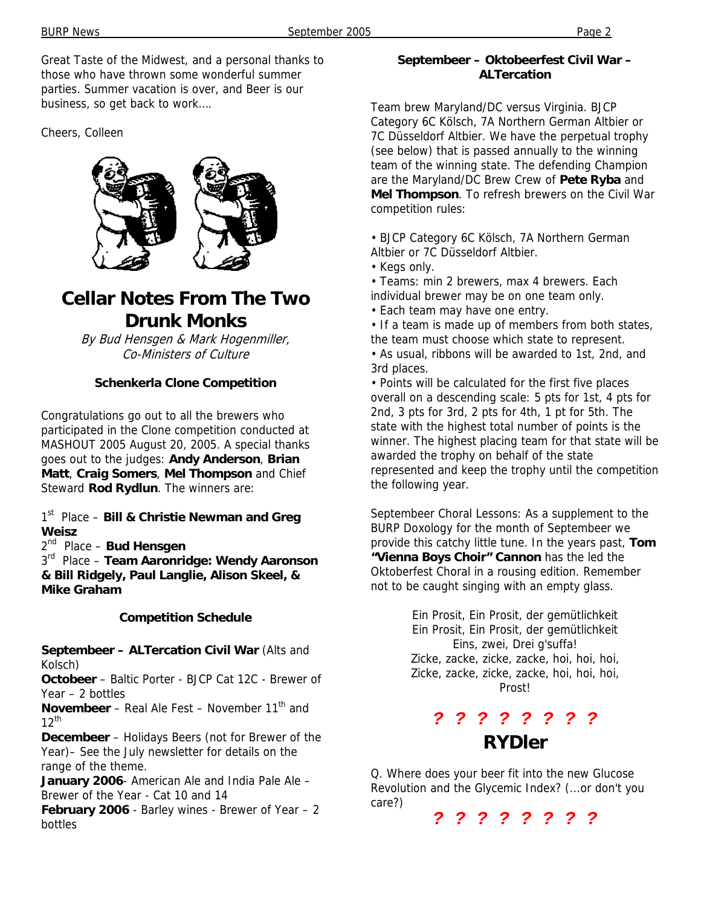Great Taste of the Midwest, and a personal thanks to those who have thrown some wonderful summer parties. Summer vacation is over, and Beer is our business, so get back to work….

Cheers, Colleen



# **Cellar Notes From The Two Drunk Monks**

By Bud Hensgen & Mark Hogenmiller, Co-Ministers of Culture

#### **Schenkerla Clone Competition**

Congratulations go out to all the brewers who participated in the Clone competition conducted at MASHOUT 2005 August 20, 2005. A special thanks goes out to the judges: **Andy Anderson**, **Brian Matt**, **Craig Somers**, **Mel Thompson** and Chief Steward **Rod Rydlun**. The winners are:

1st Place – **Bill & Christie Newman and Greg Weisz**

2nd Place – **Bud Hensgen** 

3rd Place – **Team Aaronridge: Wendy Aaronson & Bill Ridgely, Paul Langlie, Alison Skeel, & Mike Graham**

#### **Competition Schedule**

**Septembeer – ALTercation Civil War** (Alts and Kolsch)

**Octobeer** – Baltic Porter - BJCP Cat 12C - Brewer of Year – 2 bottles

**Novembeer** – Real Ale Fest – November 11<sup>th</sup> and  $12^{th}$ 

**Decembeer** – Holidays Beers (not for Brewer of the Year)– See the July newsletter for details on the range of the theme.

January 2006- American Ale and India Pale Ale -Brewer of the Year - Cat 10 and 14

**February 2006** - Barley wines - Brewer of Year – 2 bottles

#### **Septembeer – Oktobeerfest Civil War – ALTercation**

Team brew Maryland/DC versus Virginia. BJCP Category 6C Kölsch, 7A Northern German Altbier or 7C Düsseldorf Altbier. We have the perpetual trophy (see below) that is passed annually to the winning team of the winning state. The defending Champion are the Maryland/DC Brew Crew of **Pete Ryba** and **Mel Thompson**. To refresh brewers on the Civil War competition rules:

• BJCP Category 6C Kölsch, 7A Northern German Altbier or 7C Düsseldorf Altbier.

- Kegs only.
- Teams: min 2 brewers, max 4 brewers. Each
- individual brewer may be on one team only.
- Each team may have one entry.

• If a team is made up of members from both states, the team must choose which state to represent.

• As usual, ribbons will be awarded to 1st, 2nd, and 3rd places.

• Points will be calculated for the first five places overall on a descending scale: 5 pts for 1st, 4 pts for 2nd, 3 pts for 3rd, 2 pts for 4th, 1 pt for 5th. The state with the highest total number of points is the winner. The highest placing team for that state will be awarded the trophy on behalf of the state represented and keep the trophy until the competition the following year.

Septembeer Choral Lessons: As a supplement to the BURP Doxology for the month of Septembeer we provide this catchy little tune. In the years past, **Tom "Vienna Boys Choir" Cannon** has the led the Oktoberfest Choral in a rousing edition. Remember not to be caught singing with an empty glass.

> Ein Prosit, Ein Prosit, der gemütlichkeit Ein Prosit, Ein Prosit, der gemütlichkeit Eins, zwei, Drei g'suffa! Zicke, zacke, zicke, zacke, hoi, hoi, hoi, Zicke, zacke, zicke, zacke, hoi, hoi, hoi, Prost!

### *? ? ? ? ? ? ? ?*  **RYDler**

Q. Where does your beer fit into the new Glucose Revolution and the Glycemic Index? (...or don't you care?)

*? ? ? ? ? ? ? ?*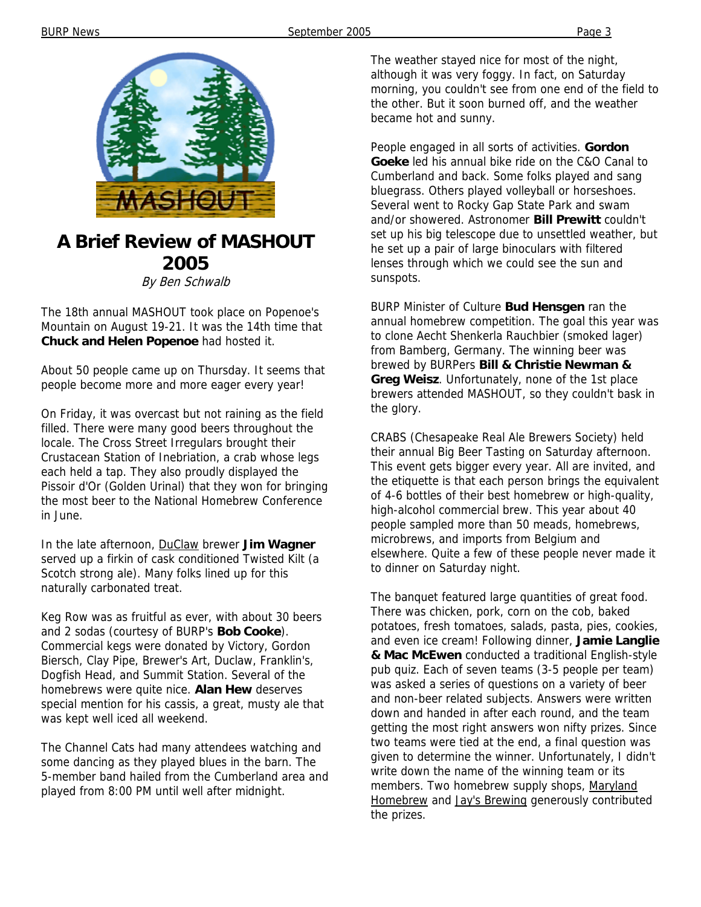

### **A Brief Review of MASHOUT 2005**

By Ben Schwalb

The 18th annual MASHOUT took place on Popenoe's Mountain on August 19-21. It was the 14th time that **Chuck and Helen Popenoe** had hosted it.

About 50 people came up on Thursday. It seems that people become more and more eager every year!

On Friday, it was overcast but not raining as the field filled. There were many good beers throughout the locale. The Cross Street Irregulars brought their Crustacean Station of Inebriation, a crab whose legs each held a tap. They also proudly displayed the Pissoir d'Or (Golden Urinal) that they won for bringing the most beer to the National Homebrew Conference in June.

In the late afternoon, DuClaw brewer **Jim Wagner** served up a firkin of cask conditioned Twisted Kilt (a Scotch strong ale). Many folks lined up for this naturally carbonated treat.

Keg Row was as fruitful as ever, with about 30 beers and 2 sodas (courtesy of BURP's **Bob Cooke**). Commercial kegs were donated by Victory, Gordon Biersch, Clay Pipe, Brewer's Art, Duclaw, Franklin's, Dogfish Head, and Summit Station. Several of the homebrews were quite nice. **Alan Hew** deserves special mention for his cassis, a great, musty ale that was kept well iced all weekend.

The Channel Cats had many attendees watching and some dancing as they played blues in the barn. The 5-member band hailed from the Cumberland area and played from 8:00 PM until well after midnight.

The weather stayed nice for most of the night, although it was very foggy. In fact, on Saturday morning, you couldn't see from one end of the field to the other. But it soon burned off, and the weather became hot and sunny.

People engaged in all sorts of activities. **Gordon Goeke** led his annual bike ride on the C&O Canal to Cumberland and back. Some folks played and sang bluegrass. Others played volleyball or horseshoes. Several went to Rocky Gap State Park and swam and/or showered. Astronomer **Bill Prewitt** couldn't set up his big telescope due to unsettled weather, but he set up a pair of large binoculars with filtered lenses through which we could see the sun and sunspots.

BURP Minister of Culture **Bud Hensgen** ran the annual homebrew competition. The goal this year was to clone Aecht Shenkerla Rauchbier (smoked lager) from Bamberg, Germany. The winning beer was brewed by BURPers **Bill & Christie Newman & Greg Weisz**. Unfortunately, none of the 1st place brewers attended MASHOUT, so they couldn't bask in the glory.

CRABS (Chesapeake Real Ale Brewers Society) held their annual Big Beer Tasting on Saturday afternoon. This event gets bigger every year. All are invited, and the etiquette is that each person brings the equivalent of 4-6 bottles of their best homebrew or high-quality, high-alcohol commercial brew. This year about 40 people sampled more than 50 meads, homebrews, microbrews, and imports from Belgium and elsewhere. Quite a few of these people never made it to dinner on Saturday night.

The banquet featured large quantities of great food. There was chicken, pork, corn on the cob, baked potatoes, fresh tomatoes, salads, pasta, pies, cookies, and even ice cream! Following dinner, **Jamie Langlie & Mac McEwen** conducted a traditional English-style pub quiz. Each of seven teams (3-5 people per team) was asked a series of questions on a variety of beer and non-beer related subjects. Answers were written down and handed in after each round, and the team getting the most right answers won nifty prizes. Since two teams were tied at the end, a final question was given to determine the winner. Unfortunately, I didn't write down the name of the winning team or its members. Two homebrew supply shops, Maryland Homebrew and Jay's Brewing generously contributed the prizes.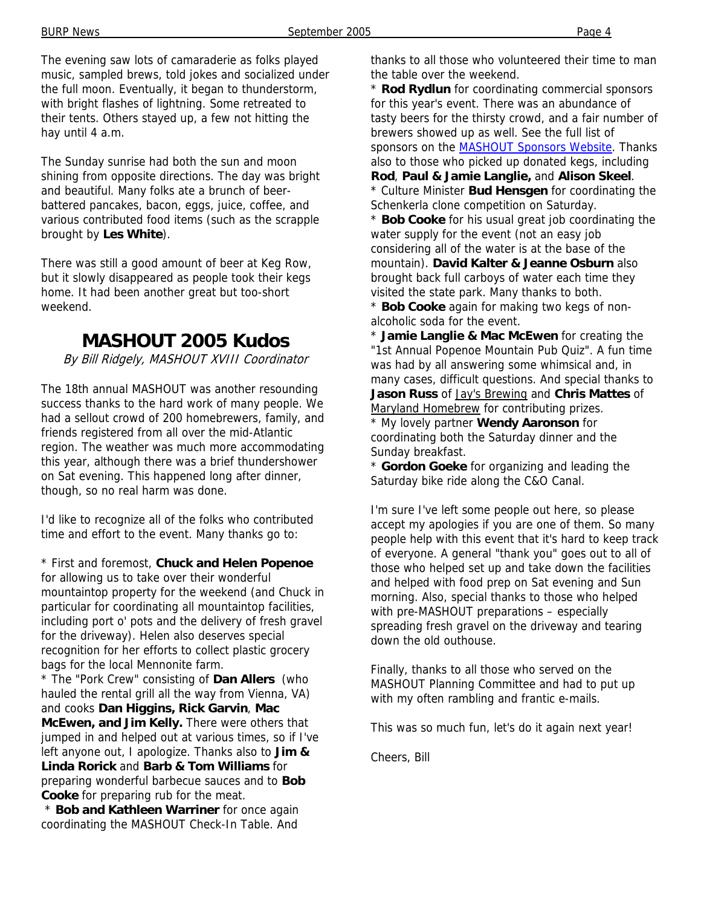The evening saw lots of camaraderie as folks played music, sampled brews, told jokes and socialized under the full moon. Eventually, it began to thunderstorm, with bright flashes of lightning. Some retreated to their tents. Others stayed up, a few not hitting the hay until 4 a.m.

The Sunday sunrise had both the sun and moon shining from opposite directions. The day was bright and beautiful. Many folks ate a brunch of beerbattered pancakes, bacon, eggs, juice, coffee, and various contributed food items (such as the scrapple brought by **Les White**).

There was still a good amount of beer at Keg Row, but it slowly disappeared as people took their kegs home. It had been another great but too-short weekend.

### **MASHOUT 2005 Kudos**

By Bill Ridgely, MASHOUT XVIII Coordinator

The 18th annual MASHOUT was another resounding success thanks to the hard work of many people. We had a sellout crowd of 200 homebrewers, family, and friends registered from all over the mid-Atlantic region. The weather was much more accommodating this year, although there was a brief thundershower on Sat evening. This happened long after dinner, though, so no real harm was done.

I'd like to recognize all of the folks who contributed time and effort to the event. Many thanks go to:

\* First and foremost, **Chuck and Helen Popenoe** for allowing us to take over their wonderful mountaintop property for the weekend (and Chuck in particular for coordinating all mountaintop facilities, including port o' pots and the delivery of fresh gravel for the driveway). Helen also deserves special recognition for her efforts to collect plastic grocery bags for the local Mennonite farm.

\* The "Pork Crew" consisting of **Dan Allers** (who hauled the rental grill all the way from Vienna, VA) and cooks **Dan Higgins, Rick Garvin**, **Mac McEwen, and Jim Kelly.** There were others that jumped in and helped out at various times, so if I've left anyone out, I apologize. Thanks also to **Jim & Linda Rorick** and **Barb & Tom Williams** for preparing wonderful barbecue sauces and to **Bob Cooke** for preparing rub for the meat.

**Bob and Kathleen Warriner** for once again coordinating the MASHOUT Check-In Table. And thanks to all those who volunteered their time to man the table over the weekend.

\* **Rod Rydlun** for coordinating commercial sponsors for this year's event. There was an abundance of tasty beers for the thirsty crowd, and a fair number of brewers showed up as well. See the full list of sponsors on the MASHOUT Sponsors Website. Thanks also to those who picked up donated kegs, including **Rod**, **Paul & Jamie Langlie,** and **Alison Skeel**. \* Culture Minister **Bud Hensgen** for coordinating the

Schenkerla clone competition on Saturday.

\* **Bob Cooke** for his usual great job coordinating the water supply for the event (not an easy job considering all of the water is at the base of the mountain). **David Kalter & Jeanne Osburn** also brought back full carboys of water each time they visited the state park. Many thanks to both.

\* **Bob Cooke** again for making two kegs of nonalcoholic soda for the event.

\* **Jamie Langlie & Mac McEwen** for creating the "1st Annual Popenoe Mountain Pub Quiz". A fun time was had by all answering some whimsical and, in many cases, difficult questions. And special thanks to **Jason Russ** of Jay's Brewing and **Chris Mattes** of Maryland Homebrew for contributing prizes. \* My lovely partner **Wendy Aaronson** for

coordinating both the Saturday dinner and the Sunday breakfast.

\* **Gordon Goeke** for organizing and leading the Saturday bike ride along the C&O Canal.

I'm sure I've left some people out here, so please accept my apologies if you are one of them. So many people help with this event that it's hard to keep track of everyone. A general "thank you" goes out to all of those who helped set up and take down the facilities and helped with food prep on Sat evening and Sun morning. Also, special thanks to those who helped with pre-MASHOUT preparations – especially spreading fresh gravel on the driveway and tearing down the old outhouse.

Finally, thanks to all those who served on the MASHOUT Planning Committee and had to put up with my often rambling and frantic e-mails.

This was so much fun, let's do it again next year!

Cheers, Bill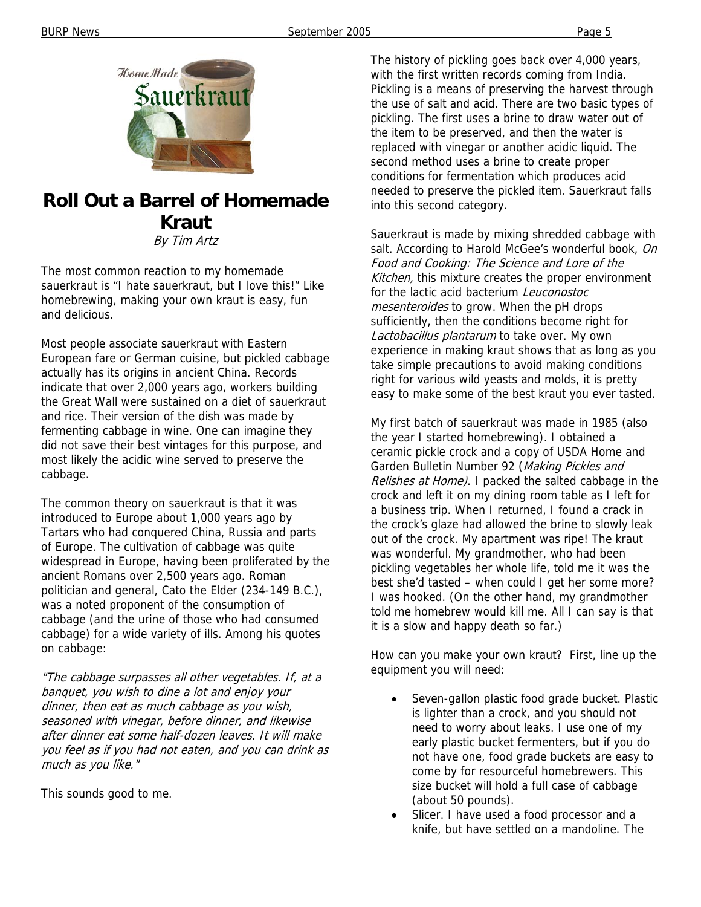

# **Roll Out a Barrel of Homemade Kraut**

By Tim Artz

The most common reaction to my homemade sauerkraut is "I hate sauerkraut, but I love this!" Like homebrewing, making your own kraut is easy, fun and delicious.

Most people associate sauerkraut with Eastern European fare or German cuisine, but pickled cabbage actually has its origins in ancient China. Records indicate that over 2,000 years ago, workers building the Great Wall were sustained on a diet of sauerkraut and rice. Their version of the dish was made by fermenting cabbage in wine. One can imagine they did not save their best vintages for this purpose, and most likely the acidic wine served to preserve the cabbage.

The common theory on sauerkraut is that it was introduced to Europe about 1,000 years ago by Tartars who had conquered China, Russia and parts of Europe. The cultivation of cabbage was quite widespread in Europe, having been proliferated by the ancient Romans over 2,500 years ago. Roman politician and general, Cato the Elder (234-149 B.C.), was a noted proponent of the consumption of cabbage (and the urine of those who had consumed cabbage) for a wide variety of ills. Among his quotes on cabbage:

"The cabbage surpasses all other vegetables. If, at a banquet, you wish to dine a lot and enjoy your dinner, then eat as much cabbage as you wish, seasoned with vinegar, before dinner, and likewise after dinner eat some half-dozen leaves. It will make you feel as if you had not eaten, and you can drink as much as you like."

This sounds good to me.

The history of pickling goes back over 4,000 years, with the first written records coming from India. Pickling is a means of preserving the harvest through the use of salt and acid. There are two basic types of pickling. The first uses a brine to draw water out of the item to be preserved, and then the water is replaced with vinegar or another acidic liquid. The second method uses a brine to create proper conditions for fermentation which produces acid needed to preserve the pickled item. Sauerkraut falls into this second category.

Sauerkraut is made by mixing shredded cabbage with salt. According to Harold McGee's wonderful book, On Food and Cooking: The Science and Lore of the Kitchen, this mixture creates the proper environment for the lactic acid bacterium *Leuconostoc* mesenteroides to grow. When the pH drops sufficiently, then the conditions become right for Lactobacillus plantarum to take over. My own experience in making kraut shows that as long as you take simple precautions to avoid making conditions right for various wild yeasts and molds, it is pretty easy to make some of the best kraut you ever tasted.

My first batch of sauerkraut was made in 1985 (also the year I started homebrewing). I obtained a ceramic pickle crock and a copy of USDA Home and Garden Bulletin Number 92 (Making Pickles and Relishes at Home). I packed the salted cabbage in the crock and left it on my dining room table as I left for a business trip. When I returned, I found a crack in the crock's glaze had allowed the brine to slowly leak out of the crock. My apartment was ripe! The kraut was wonderful. My grandmother, who had been pickling vegetables her whole life, told me it was the best she'd tasted – when could I get her some more? I was hooked. (On the other hand, my grandmother told me homebrew would kill me. All I can say is that it is a slow and happy death so far.)

How can you make your own kraut? First, line up the equipment you will need:

- Seven-gallon plastic food grade bucket. Plastic is lighter than a crock, and you should not need to worry about leaks. I use one of my early plastic bucket fermenters, but if you do not have one, food grade buckets are easy to come by for resourceful homebrewers. This size bucket will hold a full case of cabbage (about 50 pounds).
- Slicer. I have used a food processor and a knife, but have settled on a mandoline. The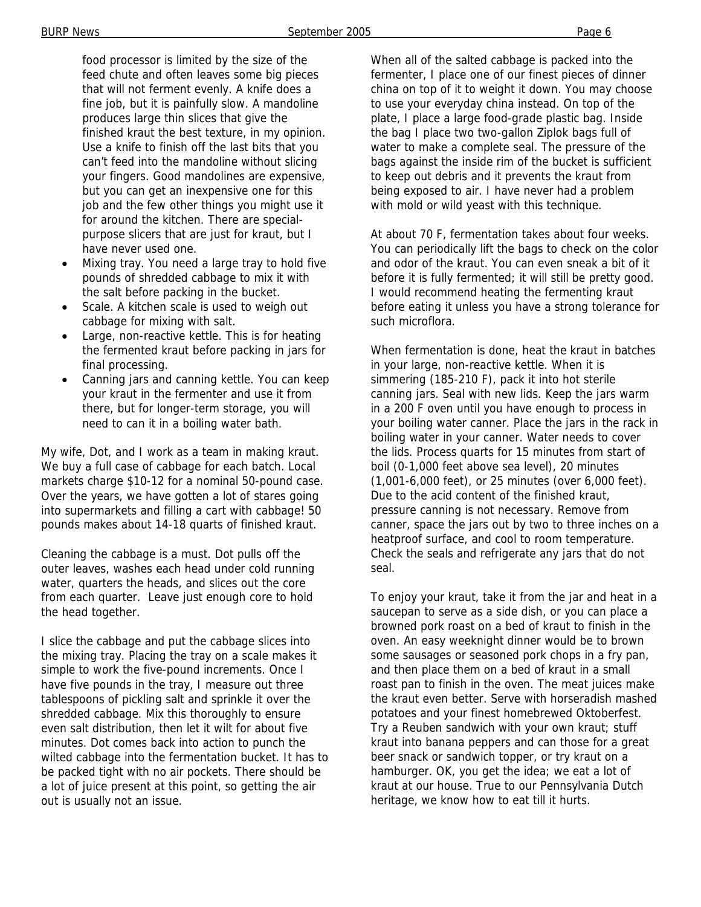food processor is limited by the size of the feed chute and often leaves some big pieces that will not ferment evenly. A knife does a fine job, but it is painfully slow. A mandoline produces large thin slices that give the finished kraut the best texture, in my opinion. Use a knife to finish off the last bits that you can't feed into the mandoline without slicing your fingers. Good mandolines are expensive, but you can get an inexpensive one for this job and the few other things you might use it for around the kitchen. There are specialpurpose slicers that are just for kraut, but I have never used one.

- Mixing tray. You need a large tray to hold five pounds of shredded cabbage to mix it with the salt before packing in the bucket.
- Scale. A kitchen scale is used to weigh out cabbage for mixing with salt.
- Large, non-reactive kettle. This is for heating the fermented kraut before packing in jars for final processing.
- Canning jars and canning kettle. You can keep your kraut in the fermenter and use it from there, but for longer-term storage, you will need to can it in a boiling water bath.

My wife, Dot, and I work as a team in making kraut. We buy a full case of cabbage for each batch. Local markets charge \$10-12 for a nominal 50-pound case. Over the years, we have gotten a lot of stares going into supermarkets and filling a cart with cabbage! 50 pounds makes about 14-18 quarts of finished kraut.

Cleaning the cabbage is a must. Dot pulls off the outer leaves, washes each head under cold running water, quarters the heads, and slices out the core from each quarter. Leave just enough core to hold the head together.

I slice the cabbage and put the cabbage slices into the mixing tray. Placing the tray on a scale makes it simple to work the five-pound increments. Once I have five pounds in the tray, I measure out three tablespoons of pickling salt and sprinkle it over the shredded cabbage. Mix this thoroughly to ensure even salt distribution, then let it wilt for about five minutes. Dot comes back into action to punch the wilted cabbage into the fermentation bucket. It has to be packed tight with no air pockets. There should be a lot of juice present at this point, so getting the air out is usually not an issue.

When all of the salted cabbage is packed into the fermenter, I place one of our finest pieces of dinner china on top of it to weight it down. You may choose to use your everyday china instead. On top of the plate, I place a large food-grade plastic bag. Inside the bag I place two two-gallon Ziplok bags full of water to make a complete seal. The pressure of the bags against the inside rim of the bucket is sufficient to keep out debris and it prevents the kraut from being exposed to air. I have never had a problem with mold or wild yeast with this technique.

At about 70 F, fermentation takes about four weeks. You can periodically lift the bags to check on the color and odor of the kraut. You can even sneak a bit of it before it is fully fermented; it will still be pretty good. I would recommend heating the fermenting kraut before eating it unless you have a strong tolerance for such microflora.

When fermentation is done, heat the kraut in batches in your large, non-reactive kettle. When it is simmering (185-210 F), pack it into hot sterile canning jars. Seal with new lids. Keep the jars warm in a 200 F oven until you have enough to process in your boiling water canner. Place the jars in the rack in boiling water in your canner. Water needs to cover the lids. Process quarts for 15 minutes from start of boil (0-1,000 feet above sea level), 20 minutes (1,001-6,000 feet), or 25 minutes (over 6,000 feet). Due to the acid content of the finished kraut, pressure canning is not necessary. Remove from canner, space the jars out by two to three inches on a heatproof surface, and cool to room temperature. Check the seals and refrigerate any jars that do not seal.

To enjoy your kraut, take it from the jar and heat in a saucepan to serve as a side dish, or you can place a browned pork roast on a bed of kraut to finish in the oven. An easy weeknight dinner would be to brown some sausages or seasoned pork chops in a fry pan, and then place them on a bed of kraut in a small roast pan to finish in the oven. The meat juices make the kraut even better. Serve with horseradish mashed potatoes and your finest homebrewed Oktoberfest. Try a Reuben sandwich with your own kraut; stuff kraut into banana peppers and can those for a great beer snack or sandwich topper, or try kraut on a hamburger. OK, you get the idea; we eat a lot of kraut at our house. True to our Pennsylvania Dutch heritage, we know how to eat till it hurts.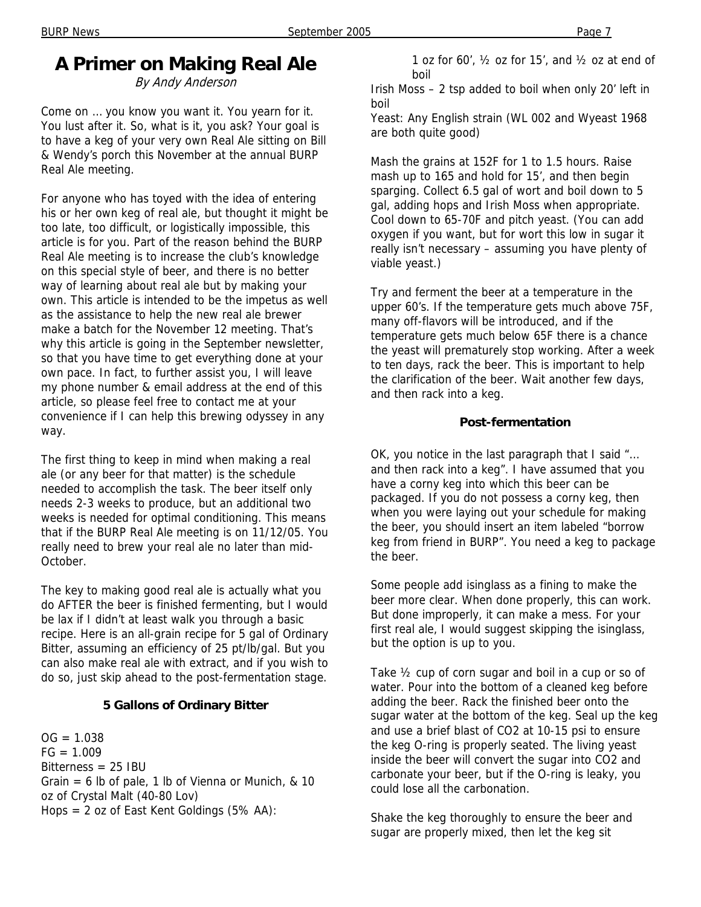# **A Primer on Making Real Ale**

By Andy Anderson

Come on … you know you want it. You yearn for it. You lust after it. So, what is it, you ask? Your goal is to have a keg of your very own Real Ale sitting on Bill & Wendy's porch this November at the annual BURP Real Ale meeting.

For anyone who has toyed with the idea of entering his or her own keg of real ale, but thought it might be too late, too difficult, or logistically impossible, this article is for you. Part of the reason behind the BURP Real Ale meeting is to increase the club's knowledge on this special style of beer, and there is no better way of learning about real ale but by making your own. This article is intended to be the impetus as well as the assistance to help the new real ale brewer make a batch for the November 12 meeting. That's why this article is going in the September newsletter, so that you have time to get everything done at your own pace. In fact, to further assist you, I will leave my phone number & email address at the end of this article, so please feel free to contact me at your convenience if I can help this brewing odyssey in any way.

The first thing to keep in mind when making a real ale (or any beer for that matter) is the schedule needed to accomplish the task. The beer itself only needs 2-3 weeks to produce, but an additional two weeks is needed for optimal conditioning. This means that if the BURP Real Ale meeting is on 11/12/05. You really need to brew your real ale no later than mid-October.

The key to making good real ale is actually what you do AFTER the beer is finished fermenting, but I would be lax if I didn't at least walk you through a basic recipe. Here is an all-grain recipe for 5 gal of Ordinary Bitter, assuming an efficiency of 25 pt/lb/gal. But you can also make real ale with extract, and if you wish to do so, just skip ahead to the post-fermentation stage.

#### **5 Gallons of Ordinary Bitter**

 $OG = 1.038$  $FG = 1.009$ Bitterness = 25 IBU Grain = 6 lb of pale, 1 lb of Vienna or Munich,  $\&$  10 oz of Crystal Malt (40-80 Lov) Hops = 2 oz of East Kent Goldings (5% AA):

Irish Moss – 2 tsp added to boil when only 20' left in boil

Yeast: Any English strain (WL 002 and Wyeast 1968 are both quite good)

Mash the grains at 152F for 1 to 1.5 hours. Raise mash up to 165 and hold for 15', and then begin sparging. Collect 6.5 gal of wort and boil down to 5 gal, adding hops and Irish Moss when appropriate. Cool down to 65-70F and pitch yeast. (You can add oxygen if you want, but for wort this low in sugar it really isn't necessary – assuming you have plenty of viable yeast.)

Try and ferment the beer at a temperature in the upper 60's. If the temperature gets much above 75F, many off-flavors will be introduced, and if the temperature gets much below 65F there is a chance the yeast will prematurely stop working. After a week to ten days, rack the beer. This is important to help the clarification of the beer. Wait another few days, and then rack into a keg.

#### **Post-fermentation**

OK, you notice in the last paragraph that I said "… and then rack into a keg". I have assumed that you have a corny keg into which this beer can be packaged. If you do not possess a corny keg, then when you were laying out your schedule for making the beer, you should insert an item labeled "borrow keg from friend in BURP". You need a keg to package the beer.

Some people add isinglass as a fining to make the beer more clear. When done properly, this can work. But done improperly, it can make a mess. For your first real ale, I would suggest skipping the isinglass, but the option is up to you.

Take ½ cup of corn sugar and boil in a cup or so of water. Pour into the bottom of a cleaned keg before adding the beer. Rack the finished beer onto the sugar water at the bottom of the keg. Seal up the keg and use a brief blast of CO2 at 10-15 psi to ensure the keg O-ring is properly seated. The living yeast inside the beer will convert the sugar into CO2 and carbonate your beer, but if the O-ring is leaky, you could lose all the carbonation.

Shake the keg thoroughly to ensure the beer and sugar are properly mixed, then let the keg sit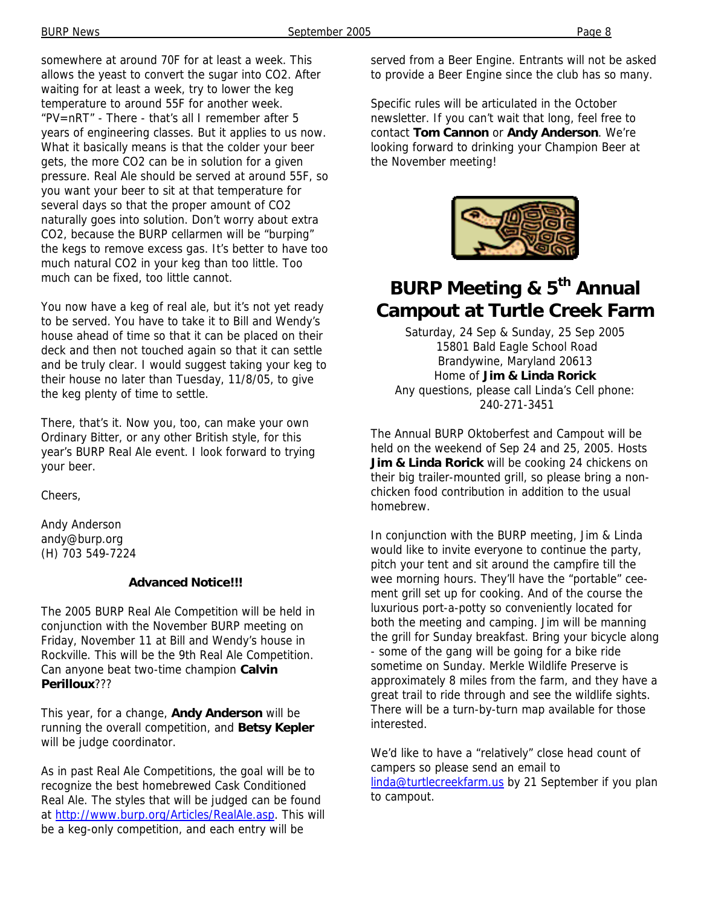somewhere at around 70F for at least a week. This allows the yeast to convert the sugar into CO2. After waiting for at least a week, try to lower the keg temperature to around 55F for another week. "PV=nRT" - There - that's all I remember after 5 years of engineering classes. But it applies to us now. What it basically means is that the colder your beer gets, the more CO2 can be in solution for a given pressure. Real Ale should be served at around 55F, so you want your beer to sit at that temperature for several days so that the proper amount of CO2 naturally goes into solution. Don't worry about extra CO2, because the BURP cellarmen will be "burping" the kegs to remove excess gas. It's better to have too much natural CO2 in your keg than too little. Too much can be fixed, too little cannot.

You now have a keg of real ale, but it's not yet ready to be served. You have to take it to Bill and Wendy's house ahead of time so that it can be placed on their deck and then not touched again so that it can settle and be truly clear. I would suggest taking your keg to their house no later than Tuesday, 11/8/05, to give the keg plenty of time to settle.

There, that's it. Now you, too, can make your own Ordinary Bitter, or any other British style, for this year's BURP Real Ale event. I look forward to trying your beer.

Cheers,

Andy Anderson andy@burp.org (H) 703 549-7224

#### **Advanced Notice!!!**

The 2005 BURP Real Ale Competition will be held in conjunction with the November BURP meeting on Friday, November 11 at Bill and Wendy's house in Rockville. This will be the 9th Real Ale Competition. Can anyone beat two-time champion **Calvin Perilloux**???

This year, for a change, **Andy Anderson** will be running the overall competition, and **Betsy Kepler** will be judge coordinator.

As in past Real Ale Competitions, the goal will be to recognize the best homebrewed Cask Conditioned Real Ale. The styles that will be judged can be found at http://www.burp.org/Articles/RealAle.asp. This will be a keg-only competition, and each entry will be

served from a Beer Engine. Entrants will not be asked to provide a Beer Engine since the club has so many.

Specific rules will be articulated in the October newsletter. If you can't wait that long, feel free to contact **Tom Cannon** or **Andy Anderson**. We're looking forward to drinking your Champion Beer at the November meeting!



# **BURP Meeting & 5<sup>th</sup> Annual Campout at Turtle Creek Farm**

Saturday, 24 Sep & Sunday, 25 Sep 2005 15801 Bald Eagle School Road Brandywine, Maryland 20613 Home of **Jim & Linda Rorick**  Any questions, please call Linda's Cell phone: 240-271-3451

The Annual BURP Oktoberfest and Campout will be held on the weekend of Sep 24 and 25, 2005. Hosts **Jim & Linda Rorick** will be cooking 24 chickens on their big trailer-mounted grill, so please bring a nonchicken food contribution in addition to the usual homebrew.

In conjunction with the BURP meeting, Jim & Linda would like to invite everyone to continue the party, pitch your tent and sit around the campfire till the wee morning hours. They'll have the "portable" ceement grill set up for cooking. And of the course the luxurious port-a-potty so conveniently located for both the meeting and camping. Jim will be manning the grill for Sunday breakfast. Bring your bicycle along - some of the gang will be going for a bike ride sometime on Sunday. Merkle Wildlife Preserve is approximately 8 miles from the farm, and they have a great trail to ride through and see the wildlife sights. There will be a turn-by-turn map available for those interested.

We'd like to have a "relatively" close head count of campers so please send an email to linda@turtlecreekfarm.us by 21 September if you plan to campout.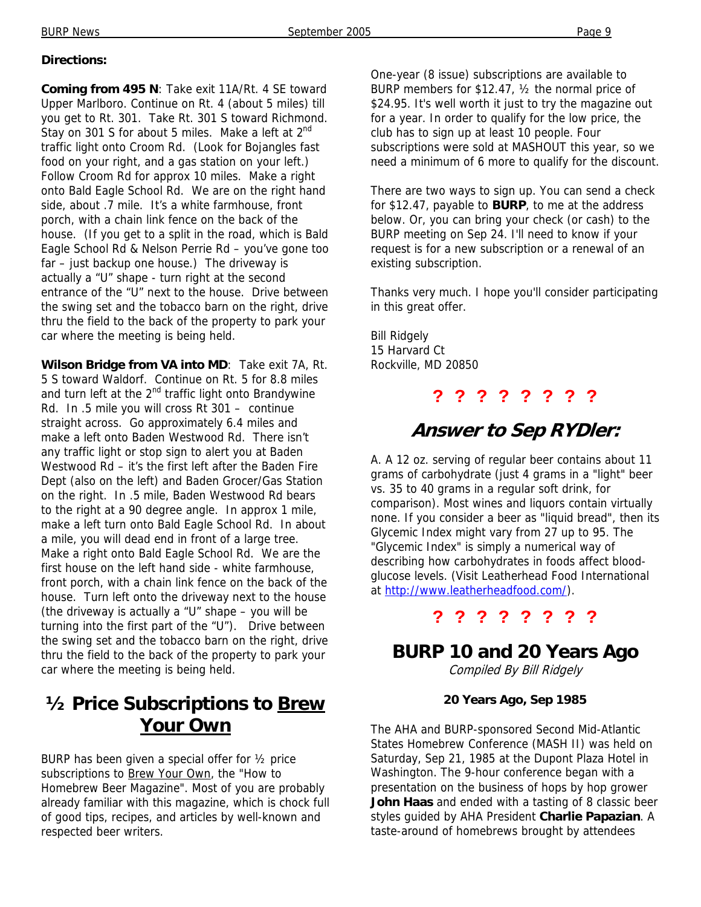#### **Directions:**

**Coming from 495 N**: Take exit 11A/Rt. 4 SE toward Upper Marlboro. Continue on Rt. 4 (about 5 miles) till you get to Rt. 301. Take Rt. 301 S toward Richmond. Stay on 301 S for about 5 miles. Make a left at  $2^{nd}$ traffic light onto Croom Rd. (Look for Bojangles fast food on your right, and a gas station on your left.) Follow Croom Rd for approx 10 miles. Make a right onto Bald Eagle School Rd. We are on the right hand side, about .7 mile. It's a white farmhouse, front porch, with a chain link fence on the back of the house. (If you get to a split in the road, which is Bald Eagle School Rd & Nelson Perrie Rd – you've gone too far – just backup one house.) The driveway is actually a "U" shape - turn right at the second entrance of the "U" next to the house. Drive between the swing set and the tobacco barn on the right, drive thru the field to the back of the property to park your car where the meeting is being held.

**Wilson Bridge from VA into MD**: Take exit 7A, Rt. 5 S toward Waldorf. Continue on Rt. 5 for 8.8 miles and turn left at the 2<sup>nd</sup> traffic light onto Brandywine Rd. In .5 mile you will cross Rt 301 – continue straight across. Go approximately 6.4 miles and make a left onto Baden Westwood Rd. There isn't any traffic light or stop sign to alert you at Baden Westwood Rd – it's the first left after the Baden Fire Dept (also on the left) and Baden Grocer/Gas Station on the right. In .5 mile, Baden Westwood Rd bears to the right at a 90 degree angle. In approx 1 mile, make a left turn onto Bald Eagle School Rd. In about a mile, you will dead end in front of a large tree. Make a right onto Bald Eagle School Rd. We are the first house on the left hand side - white farmhouse, front porch, with a chain link fence on the back of the house. Turn left onto the driveway next to the house (the driveway is actually a "U" shape  $-$  you will be turning into the first part of the "U"). Drive between the swing set and the tobacco barn on the right, drive thru the field to the back of the property to park your car where the meeting is being held.

## **½ Price Subscriptions to Brew Your Own**

BURP has been given a special offer for  $\frac{1}{2}$  price subscriptions to **Brew Your Own**, the "How to Homebrew Beer Magazine". Most of you are probably already familiar with this magazine, which is chock full of good tips, recipes, and articles by well-known and respected beer writers.

One-year (8 issue) subscriptions are available to BURP members for \$12.47, ½ the normal price of \$24.95. It's well worth it just to try the magazine out for a year. In order to qualify for the low price, the club has to sign up at least 10 people. Four subscriptions were sold at MASHOUT this year, so we need a minimum of 6 more to qualify for the discount.

There are two ways to sign up. You can send a check for \$12.47, payable to **BURP**, to me at the address below. Or, you can bring your check (or cash) to the BURP meeting on Sep 24. I'll need to know if your request is for a new subscription or a renewal of an existing subscription.

Thanks very much. I hope you'll consider participating in this great offer.

Bill Ridgely 15 Harvard Ct Rockville, MD 20850

#### **? ? ? ? ? ? ? ?**

### **Answer to Sep RYDler:**

A. A 12 oz. serving of regular beer contains about 11 grams of carbohydrate (just 4 grams in a "light" beer vs. 35 to 40 grams in a regular soft drink, for comparison). Most wines and liquors contain virtually none. If you consider a beer as "liquid bread", then its Glycemic Index might vary from 27 up to 95. The "Glycemic Index" is simply a numerical way of describing how carbohydrates in foods affect bloodglucose levels. (Visit Leatherhead Food International at http://www.leatherheadfood.com/).

#### **? ? ? ? ? ? ? ?**

**BURP 10 and 20 Years Ago** 

Compiled By Bill Ridgely

#### **20 Years Ago, Sep 1985**

The AHA and BURP-sponsored Second Mid-Atlantic States Homebrew Conference (MASH II) was held on Saturday, Sep 21, 1985 at the Dupont Plaza Hotel in Washington. The 9-hour conference began with a presentation on the business of hops by hop grower **John Haas** and ended with a tasting of 8 classic beer styles guided by AHA President **Charlie Papazian**. A taste-around of homebrews brought by attendees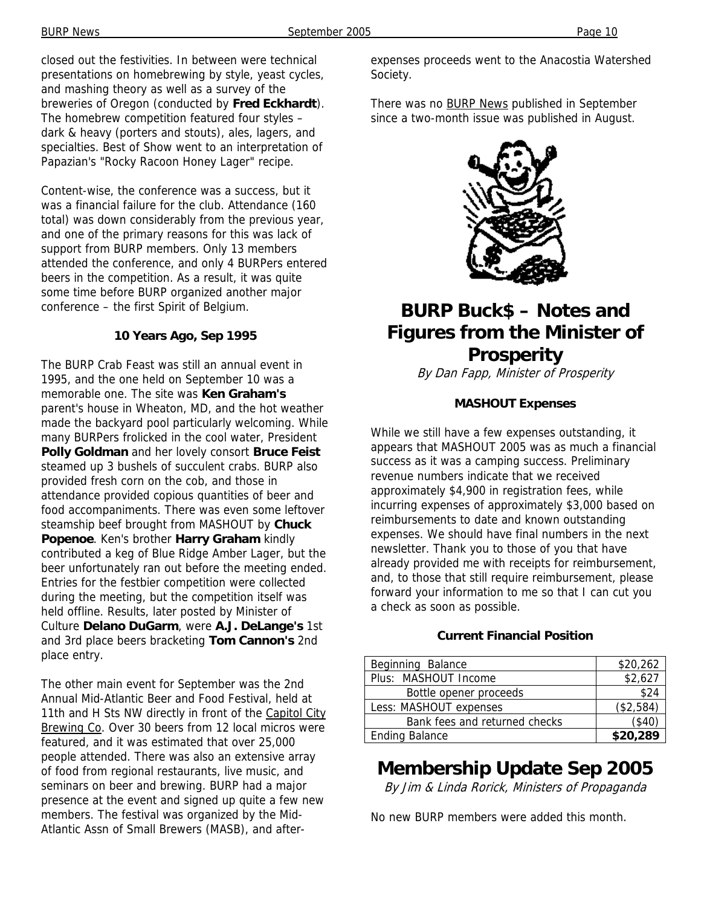Content-wise, the conference was a success, but it was a financial failure for the club. Attendance (160 total) was down considerably from the previous year, and one of the primary reasons for this was lack of support from BURP members. Only 13 members attended the conference, and only 4 BURPers entered beers in the competition. As a result, it was quite some time before BURP organized another major conference – the first Spirit of Belgium.

#### **10 Years Ago, Sep 1995**

The BURP Crab Feast was still an annual event in 1995, and the one held on September 10 was a memorable one. The site was **Ken Graham's** parent's house in Wheaton, MD, and the hot weather made the backyard pool particularly welcoming. While many BURPers frolicked in the cool water, President **Polly Goldman** and her lovely consort **Bruce Feist**  steamed up 3 bushels of succulent crabs. BURP also provided fresh corn on the cob, and those in attendance provided copious quantities of beer and food accompaniments. There was even some leftover steamship beef brought from MASHOUT by **Chuck Popenoe**. Ken's brother **Harry Graham** kindly contributed a keg of Blue Ridge Amber Lager, but the beer unfortunately ran out before the meeting ended. Entries for the festbier competition were collected during the meeting, but the competition itself was held offline. Results, later posted by Minister of Culture **Delano DuGarm**, were **A.J. DeLange's** 1st and 3rd place beers bracketing **Tom Cannon's** 2nd place entry.

The other main event for September was the 2nd Annual Mid-Atlantic Beer and Food Festival, held at 11th and H Sts NW directly in front of the Capitol City Brewing Co. Over 30 beers from 12 local micros were featured, and it was estimated that over 25,000 people attended. There was also an extensive array of food from regional restaurants, live music, and seminars on beer and brewing. BURP had a major presence at the event and signed up quite a few new members. The festival was organized by the Mid-Atlantic Assn of Small Brewers (MASB), and afterexpenses proceeds went to the Anacostia Watershed Society.

There was no **BURP News** published in September since a two-month issue was published in August.



# **BURP Buck\$ – Notes and Figures from the Minister of Prosperity**

By Dan Fapp, Minister of Prosperity

#### **MASHOUT Expenses**

While we still have a few expenses outstanding, it appears that MASHOUT 2005 was as much a financial success as it was a camping success. Preliminary revenue numbers indicate that we received approximately \$4,900 in registration fees, while incurring expenses of approximately \$3,000 based on reimbursements to date and known outstanding expenses. We should have final numbers in the next newsletter. Thank you to those of you that have already provided me with receipts for reimbursement, and, to those that still require reimbursement, please forward your information to me so that I can cut you a check as soon as possible.

#### **Current Financial Position**

| Beginning Balance             | \$20,262  |
|-------------------------------|-----------|
| Plus: MASHOUT Income          | \$2,627   |
| Bottle opener proceeds        | \$24      |
| Less: MASHOUT expenses        | (\$2,584) |
| Bank fees and returned checks | (\$40)    |
| <b>Ending Balance</b>         | \$20,289  |

# **Membership Update Sep 2005**

By Jim & Linda Rorick, Ministers of Propaganda

No new BURP members were added this month.